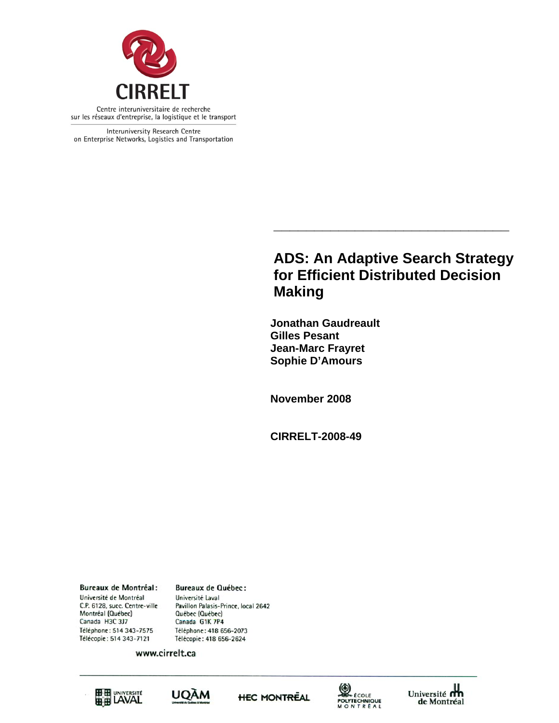

Interuniversity Research Centre on Enterprise Networks, Logistics and Transportation

## **ADS: An Adaptive Search Strategy for Efficient Distributed Decision Making**

**\_\_\_\_\_\_\_\_\_\_\_\_\_\_\_\_\_\_\_\_\_\_\_\_\_\_\_\_\_** 

 **Jonathan Gaudreault Gilles Pesant Jean-Marc Frayret Sophie D'Amours** 

**November 2008** 

**CIRRELT-2008-49** 

**Bureaux de Montréal:** Université de Montréal C.P. 6128, succ. Centre-ville Montréal (Québec) Canada H3C 3J7 Téléphone: 514 343-7575 Télécopie: 514 343-7121

**Bureaux de Québec:** Université Laval Pavillon Palasis-Prince, local 2642 Québec (Québec) Canada G1K 7P4 Téléphone: 418 656-2073 Télécopie: 418 656-2624

www.cirrelt.ca









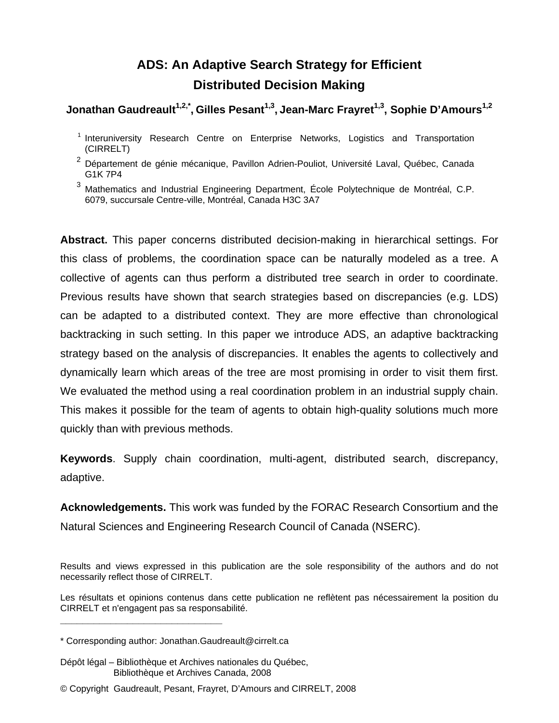# **ADS: An Adaptive Search Strategy for Efficient Distributed Decision Making**

## Jonathan Gaudreault<sup>1,2,\*</sup>, Gilles Pesant<sup>1,3</sup>, Jean-Marc Frayret<sup>1,3</sup>, Sophie D'Amours<sup>1,2</sup>

<sup>1</sup> Interuniversity Research Centre on Enterprise Networks, Logistics and Transportation (CIRRELT)

<sup>3</sup> Mathematics and Industrial Engineering Department, École Polytechnique de Montréal, C.P. 6079, succursale Centre-ville, Montréal, Canada H3C 3A7

**Abstract.** This paper concerns distributed decision-making in hierarchical settings. For this class of problems, the coordination space can be naturally modeled as a tree. A collective of agents can thus perform a distributed tree search in order to coordinate. Previous results have shown that search strategies based on discrepancies (e.g. LDS) can be adapted to a distributed context. They are more effective than chronological backtracking in such setting. In this paper we introduce ADS, an adaptive backtracking strategy based on the analysis of discrepancies. It enables the agents to collectively and dynamically learn which areas of the tree are most promising in order to visit them first. We evaluated the method using a real coordination problem in an industrial supply chain. This makes it possible for the team of agents to obtain high-quality solutions much more quickly than with previous methods.

**Keywords**. Supply chain coordination, multi-agent, distributed search, discrepancy, adaptive.

**Acknowledgements.** This work was funded by the FORAC Research Consortium and the Natural Sciences and Engineering Research Council of Canada (NSERC).

Results and views expressed in this publication are the sole responsibility of the authors and do not necessarily reflect those of CIRRELT.

Les résultats et opinions contenus dans cette publication ne reflètent pas nécessairement la position du CIRRELT et n'engagent pas sa responsabilité.

**\_\_\_\_\_\_\_\_\_\_\_\_\_\_\_\_\_\_\_\_\_\_\_\_\_\_\_\_\_**

<sup>&</sup>lt;sup>2</sup> Département de génie mécanique, Pavillon Adrien-Pouliot, Université Laval, Québec, Canada G1K 7P4

<sup>\*</sup> Corresponding author: Jonathan.Gaudreault@cirrelt.ca

Dépôt légal – Bibliothèque et Archives nationales du Québec, Bibliothèque et Archives Canada, 2008

<sup>©</sup> Copyright Gaudreault, Pesant, Frayret, D'Amours and CIRRELT, 2008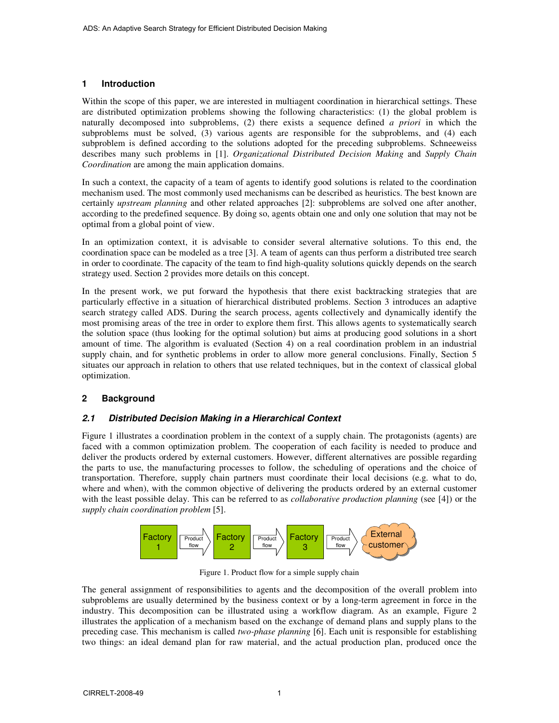## **1 Introduction**

Within the scope of this paper, we are interested in multiagent coordination in hierarchical settings. These are distributed optimization problems showing the following characteristics: (1) the global problem is naturally decomposed into subproblems, (2) there exists a sequence defined *a priori* in which the subproblems must be solved, (3) various agents are responsible for the subproblems, and (4) each subproblem is defined according to the solutions adopted for the preceding subproblems. Schneeweiss describes many such problems in [1]. *Organizational Distributed Decision Making* and *Supply Chain Coordination* are among the main application domains.

In such a context, the capacity of a team of agents to identify good solutions is related to the coordination mechanism used. The most commonly used mechanisms can be described as heuristics. The best known are certainly *upstream planning* and other related approaches [2]: subproblems are solved one after another, according to the predefined sequence. By doing so, agents obtain one and only one solution that may not be optimal from a global point of view.

In an optimization context, it is advisable to consider several alternative solutions. To this end, the coordination space can be modeled as a tree [3]. A team of agents can thus perform a distributed tree search in order to coordinate. The capacity of the team to find high-quality solutions quickly depends on the search strategy used. Section 2 provides more details on this concept.

In the present work, we put forward the hypothesis that there exist backtracking strategies that are particularly effective in a situation of hierarchical distributed problems. Section 3 introduces an adaptive search strategy called ADS. During the search process, agents collectively and dynamically identify the most promising areas of the tree in order to explore them first. This allows agents to systematically search the solution space (thus looking for the optimal solution) but aims at producing good solutions in a short amount of time. The algorithm is evaluated (Section 4) on a real coordination problem in an industrial supply chain, and for synthetic problems in order to allow more general conclusions. Finally, Section 5 situates our approach in relation to others that use related techniques, but in the context of classical global optimization.

## **2 Background**

## *2.1 Distributed Decision Making in a Hierarchical Context*

Figure 1 illustrates a coordination problem in the context of a supply chain. The protagonists (agents) are faced with a common optimization problem. The cooperation of each facility is needed to produce and deliver the products ordered by external customers. However, different alternatives are possible regarding the parts to use, the manufacturing processes to follow, the scheduling of operations and the choice of transportation. Therefore, supply chain partners must coordinate their local decisions (e.g. what to do, where and when), with the common objective of delivering the products ordered by an external customer with the least possible delay. This can be referred to as *collaborative production planning* (see [4]) or the *supply chain coordination problem* [5].



Figure 1. Product flow for a simple supply chain

The general assignment of responsibilities to agents and the decomposition of the overall problem into subproblems are usually determined by the business context or by a long-term agreement in force in the industry. This decomposition can be illustrated using a workflow diagram. As an example, Figure 2 illustrates the application of a mechanism based on the exchange of demand plans and supply plans to the preceding case. This mechanism is called *two-phase planning* [6]. Each unit is responsible for establishing two things: an ideal demand plan for raw material, and the actual production plan, produced once the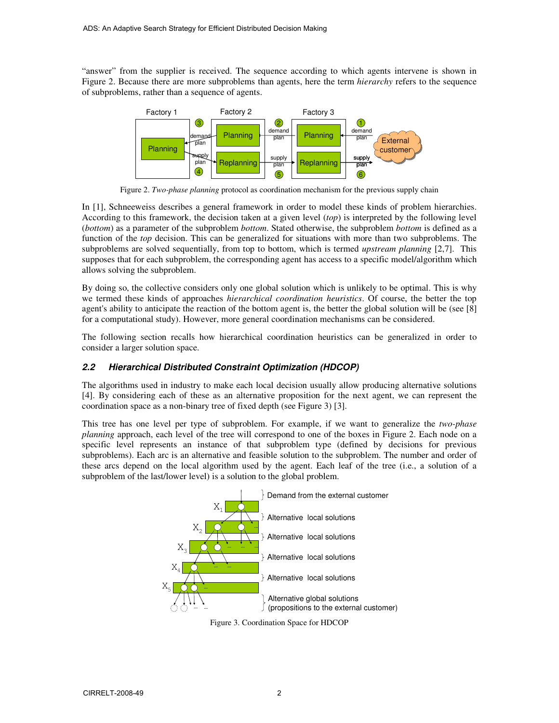"answer" from the supplier is received. The sequence according to which agents intervene is shown in Figure 2. Because there are more subproblems than agents, here the term *hierarchy* refers to the sequence of subproblems, rather than a sequence of agents.



Figure 2. *Two-phase planning* protocol as coordination mechanism for the previous supply chain

In [1], Schneeweiss describes a general framework in order to model these kinds of problem hierarchies. According to this framework, the decision taken at a given level (*top*) is interpreted by the following level (*bottom*) as a parameter of the subproblem *bottom*. Stated otherwise, the subproblem *bottom* is defined as a function of the *top* decision. This can be generalized for situations with more than two subproblems. The subproblems are solved sequentially, from top to bottom, which is termed *upstream planning* [2,7]. This supposes that for each subproblem, the corresponding agent has access to a specific model/algorithm which allows solving the subproblem.

By doing so, the collective considers only one global solution which is unlikely to be optimal. This is why we termed these kinds of approaches *hierarchical coordination heuristics*. Of course, the better the top agent's ability to anticipate the reaction of the bottom agent is, the better the global solution will be (see [8] for a computational study). However, more general coordination mechanisms can be considered.

The following section recalls how hierarchical coordination heuristics can be generalized in order to consider a larger solution space.

## *2.2 Hierarchical Distributed Constraint Optimization (HDCOP)*

The algorithms used in industry to make each local decision usually allow producing alternative solutions [4]. By considering each of these as an alternative proposition for the next agent, we can represent the coordination space as a non-binary tree of fixed depth (see Figure 3) [3].

This tree has one level per type of subproblem. For example, if we want to generalize the *two-phase planning* approach, each level of the tree will correspond to one of the boxes in Figure 2. Each node on a specific level represents an instance of that subproblem type (defined by decisions for previous subproblems). Each arc is an alternative and feasible solution to the subproblem. The number and order of these arcs depend on the local algorithm used by the agent. Each leaf of the tree (i.e., a solution of a subproblem of the last/lower level) is a solution to the global problem.



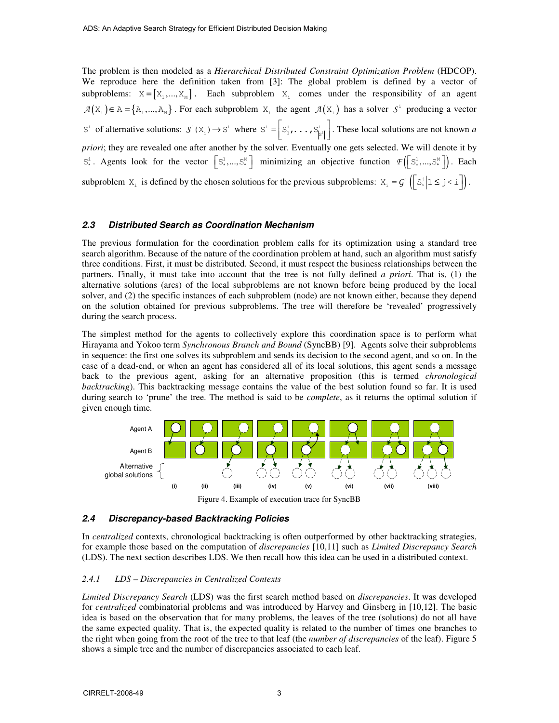The problem is then modeled as a *Hierarchical Distributed Constraint Optimization Problem* (HDCOP). We reproduce here the definition taken from [3]: The global problem is defined by a vector of subproblems:  $X = [X_1, ..., X_M]$ . Each subproblem  $X_i$  comes under the responsibility of an agent  $A(X_i) \in A = \{A_1,..., A_N\}$ . For each subproblem  $X_i$  the agent  $A(X_i)$  has a solver  $S^i$  producing a vector  $S^{\text{!`}}$  of alternative solutions:  $S^{\text{!`}}(X_1) \rightarrow S^{\text{!`}}$  where  $S^{\text{!`}} = \left[S^{\text{!`}}_1, \ldots, S^{\text{!`}}_{|S^{\text{!`}}|}\right]$ . These local solutions are not known *a priori*; they are revealed one after another by the solver. Eventually one gets selected. We will denote it by  $S^{\perp}_{\ast}$ . Agents look for the vector  $\left[S^{\perp}_{\ast},...,S^{\mathbb{M}}_{\ast}\right]$  minimizing an objective function  $\mathcal{F}\left(\left[S^{\perp}_{\ast},...,S^{\mathbb{M}}_{\ast}\right]\right)$ . Each subproblem  $X_i$  is defined by the chosen solutions for the previous subproblems:  $X_i = G^i \left( \left[ S_*^i \middle| 1 \leq j < i \right] \right)$ .

## *2.3 Distributed Search as Coordination Mechanism*

The previous formulation for the coordination problem calls for its optimization using a standard tree search algorithm. Because of the nature of the coordination problem at hand, such an algorithm must satisfy three conditions. First, it must be distributed. Second, it must respect the business relationships between the partners. Finally, it must take into account that the tree is not fully defined *a priori*. That is, (1) the alternative solutions (arcs) of the local subproblems are not known before being produced by the local solver, and (2) the specific instances of each subproblem (node) are not known either, because they depend on the solution obtained for previous subproblems. The tree will therefore be 'revealed' progressively during the search process.

The simplest method for the agents to collectively explore this coordination space is to perform what Hirayama and Yokoo term *Synchronous Branch and Bound* (SyncBB) [9]. Agents solve their subproblems in sequence: the first one solves its subproblem and sends its decision to the second agent, and so on. In the case of a dead-end, or when an agent has considered all of its local solutions, this agent sends a message back to the previous agent, asking for an alternative proposition (this is termed *chronological backtracking*). This backtracking message contains the value of the best solution found so far. It is used during search to 'prune' the tree. The method is said to be *complete*, as it returns the optimal solution if given enough time.



Figure 4. Example of execution trace for SyncBB

#### *2.4 Discrepancy-based Backtracking Policies*

In *centralized* contexts, chronological backtracking is often outperformed by other backtracking strategies, for example those based on the computation of *discrepancies* [10,11] such as *Limited Discrepancy Search* (LDS). The next section describes LDS. We then recall how this idea can be used in a distributed context.

#### *2.4.1 LDS – Discrepancies in Centralized Contexts*

*Limited Discrepancy Search* (LDS) was the first search method based on *discrepancies*. It was developed for *centralized* combinatorial problems and was introduced by Harvey and Ginsberg in [10,12]. The basic idea is based on the observation that for many problems, the leaves of the tree (solutions) do not all have the same expected quality. That is, the expected quality is related to the number of times one branches to the right when going from the root of the tree to that leaf (the *number of discrepancies* of the leaf). Figure 5 shows a simple tree and the number of discrepancies associated to each leaf.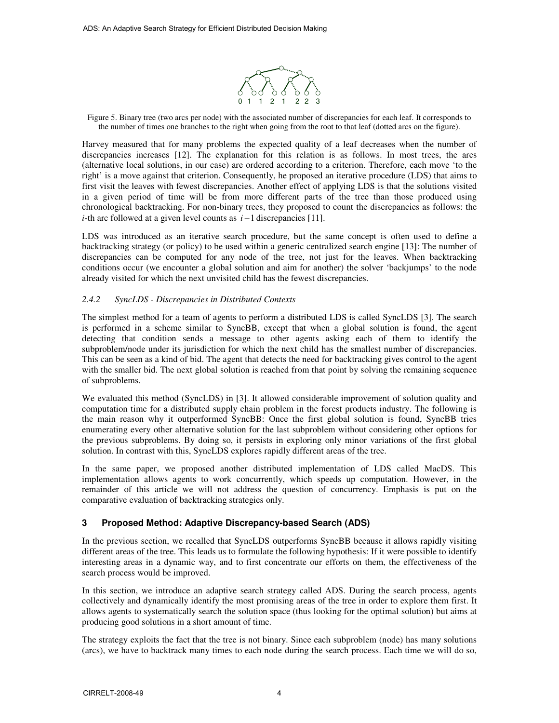

Figure 5. Binary tree (two arcs per node) with the associated number of discrepancies for each leaf. It corresponds to the number of times one branches to the right when going from the root to that leaf (dotted arcs on the figure).

Harvey measured that for many problems the expected quality of a leaf decreases when the number of discrepancies increases [12]. The explanation for this relation is as follows. In most trees, the arcs (alternative local solutions, in our case) are ordered according to a criterion. Therefore, each move 'to the right' is a move against that criterion. Consequently, he proposed an iterative procedure (LDS) that aims to first visit the leaves with fewest discrepancies. Another effect of applying LDS is that the solutions visited in a given period of time will be from more different parts of the tree than those produced using chronological backtracking. For non-binary trees, they proposed to count the discrepancies as follows: the *i*-th arc followed at a given level counts as *i* −1 discrepancies [11].

LDS was introduced as an iterative search procedure, but the same concept is often used to define a backtracking strategy (or policy) to be used within a generic centralized search engine [13]: The number of discrepancies can be computed for any node of the tree, not just for the leaves. When backtracking conditions occur (we encounter a global solution and aim for another) the solver 'backjumps' to the node already visited for which the next unvisited child has the fewest discrepancies.

## *2.4.2 SyncLDS - Discrepancies in Distributed Contexts*

The simplest method for a team of agents to perform a distributed LDS is called SyncLDS [3]. The search is performed in a scheme similar to SyncBB, except that when a global solution is found, the agent detecting that condition sends a message to other agents asking each of them to identify the subproblem/node under its jurisdiction for which the next child has the smallest number of discrepancies. This can be seen as a kind of bid. The agent that detects the need for backtracking gives control to the agent with the smaller bid. The next global solution is reached from that point by solving the remaining sequence of subproblems.

We evaluated this method (SyncLDS) in [3]. It allowed considerable improvement of solution quality and computation time for a distributed supply chain problem in the forest products industry. The following is the main reason why it outperformed SyncBB: Once the first global solution is found, SyncBB tries enumerating every other alternative solution for the last subproblem without considering other options for the previous subproblems. By doing so, it persists in exploring only minor variations of the first global solution. In contrast with this, SyncLDS explores rapidly different areas of the tree.

In the same paper, we proposed another distributed implementation of LDS called MacDS. This implementation allows agents to work concurrently, which speeds up computation. However, in the remainder of this article we will not address the question of concurrency. Emphasis is put on the comparative evaluation of backtracking strategies only.

## **3 Proposed Method: Adaptive Discrepancy-based Search (ADS)**

In the previous section, we recalled that SyncLDS outperforms SyncBB because it allows rapidly visiting different areas of the tree. This leads us to formulate the following hypothesis: If it were possible to identify interesting areas in a dynamic way, and to first concentrate our efforts on them, the effectiveness of the search process would be improved.

In this section, we introduce an adaptive search strategy called ADS. During the search process, agents collectively and dynamically identify the most promising areas of the tree in order to explore them first. It allows agents to systematically search the solution space (thus looking for the optimal solution) but aims at producing good solutions in a short amount of time.

The strategy exploits the fact that the tree is not binary. Since each subproblem (node) has many solutions (arcs), we have to backtrack many times to each node during the search process. Each time we will do so,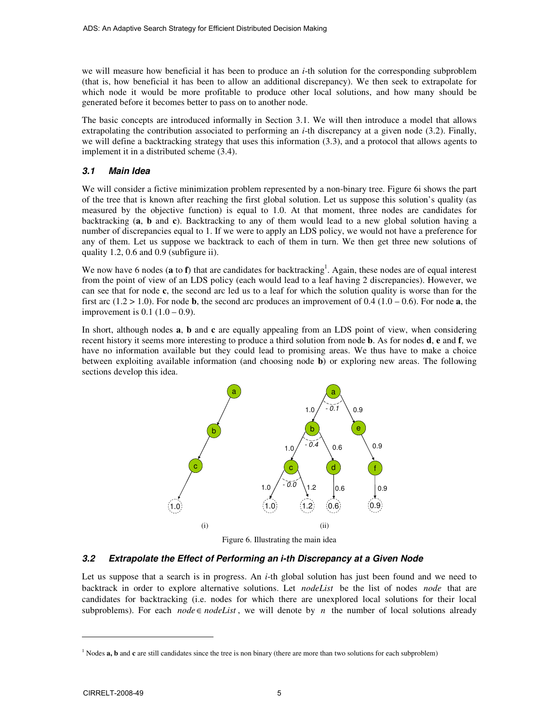we will measure how beneficial it has been to produce an *i*-th solution for the corresponding subproblem (that is, how beneficial it has been to allow an additional discrepancy). We then seek to extrapolate for which node it would be more profitable to produce other local solutions, and how many should be generated before it becomes better to pass on to another node.

The basic concepts are introduced informally in Section 3.1. We will then introduce a model that allows extrapolating the contribution associated to performing an *i*-th discrepancy at a given node (3.2). Finally, we will define a backtracking strategy that uses this information (3.3), and a protocol that allows agents to implement it in a distributed scheme (3.4).

## *3.1 Main Idea*

We will consider a fictive minimization problem represented by a non-binary tree. Figure 6i shows the part of the tree that is known after reaching the first global solution. Let us suppose this solution's quality (as measured by the objective function) is equal to 1.0. At that moment, three nodes are candidates for backtracking (**a**, **b** and **c**). Backtracking to any of them would lead to a new global solution having a number of discrepancies equal to 1. If we were to apply an LDS policy, we would not have a preference for any of them. Let us suppose we backtrack to each of them in turn. We then get three new solutions of quality 1.2, 0.6 and 0.9 (subfigure ii).

We now have 6 nodes (a to f) that are candidates for backtracking<sup>1</sup>. Again, these nodes are of equal interest from the point of view of an LDS policy (each would lead to a leaf having 2 discrepancies). However, we can see that for node **c**, the second arc led us to a leaf for which the solution quality is worse than for the first arc  $(1.2 > 1.0)$ . For node **b**, the second arc produces an improvement of 0.4  $(1.0 - 0.6)$ . For node **a**, the improvement is  $0.1$   $(1.0 - 0.9)$ .

In short, although nodes **a**, **b** and **c** are equally appealing from an LDS point of view, when considering recent history it seems more interesting to produce a third solution from node **b**. As for nodes **d**, **e** and **f**, we have no information available but they could lead to promising areas. We thus have to make a choice between exploiting available information (and choosing node **b**) or exploring new areas. The following sections develop this idea.



Figure 6. Illustrating the main idea

## *3.2 Extrapolate the Effect of Performing an i-th Discrepancy at a Given Node*

Let us suppose that a search is in progress. An *i*-th global solution has just been found and we need to backtrack in order to explore alternative solutions. Let *nodeList* be the list of nodes *node* that are candidates for backtracking (i.e. nodes for which there are unexplored local solutions for their local subproblems). For each *node*  $\in$  *nodeList*, we will denote by *n* the number of local solutions already

<sup>&</sup>lt;sup>1</sup> Nodes **a**, **b** and **c** are still candidates since the tree is non binary (there are more than two solutions for each subproblem)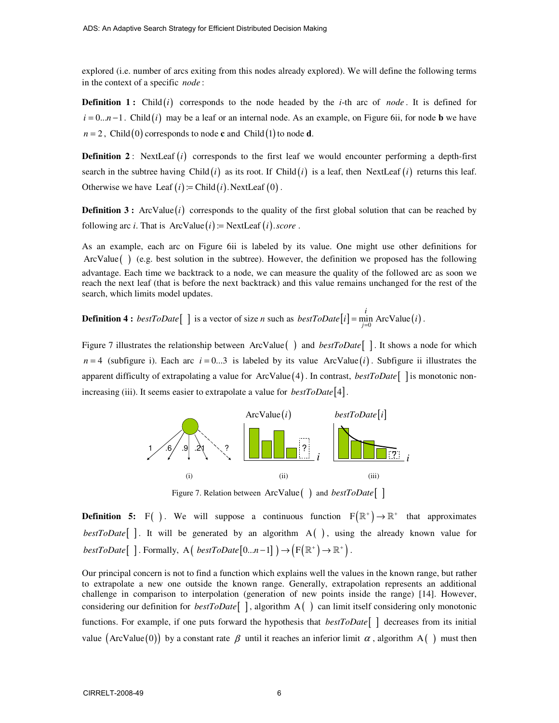explored (i.e. number of arcs exiting from this nodes already explored). We will define the following terms in the context of a specific *node* :

**Definition 1:** Child  $(i)$  corresponds to the node headed by the *i*-th arc of *node*. It is defined for  $i = 0...n-1$ . Child (*i*) may be a leaf or an internal node. As an example, on Figure 6ii, for node **b** we have  $n = 2$ , Child (0) corresponds to node **c** and Child (1) to node **d**.

**Definition 2**: NextLeaf  $(i)$  corresponds to the first leaf we would encounter performing a depth-first search in the subtree having Child  $(i)$  as its root. If Child  $(i)$  is a leaf, then NextLeaf  $(i)$  returns this leaf. Otherwise we have Leaf  $(i)$  := Child  $(i)$ . NextLeaf  $(0)$ .

**Definition 3 :** ArcValue( $i$ ) corresponds to the quality of the first global solution that can be reached by following arc *i*. That is  $ArcValue(i) := NextLeaf(i)$ . *score*.

As an example, each arc on Figure 6ii is labeled by its value. One might use other definitions for ArcValue( ) (e.g. best solution in the subtree). However, the definition we proposed has the following advantage. Each time we backtrack to a node, we can measure the quality of the followed arc as soon we reach the next leaf (that is before the next backtrack) and this value remains unchanged for the rest of the search, which limits model updates.

**Definition 4 :**  $bestToDate[$  ] is a vector of size *n* such as  $bestToDate[i] = \min_{j=0}^{\infty} ArcValue(i)$ *i*  $bestToDate[i] = \min_{j=0}$  ArcValue(*i*).

Figure 7 illustrates the relationship between ArcValue( ) and *bestToDate*[ ] . It shows a node for which  $n = 4$  (subfigure i). Each arc  $i = 0...3$  is labeled by its value ArcValue(*i*). Subfigure ii illustrates the apparent difficulty of extrapolating a value for ArcValue  $(4)$ . In contrast, *bestToDate* [ ] is monotonic nonincreasing (iii). It seems easier to extrapolate a value for *bestToDate*[4].



Figure 7. Relation between ArcValue( ) and *bestToDate*[ ]

**Definition 5:** F( ). We will suppose a continuous function  $F(\mathbb{R}^+) \to \mathbb{R}^+$  that approximates *bestToDate*[ ]. It will be generated by an algorithm A( ), using the already known value for *bestToDate*  $[ ]$ . Formally, A  $($  *bestToDate*  $[0...n-1]$   $) \rightarrow (F(\mathbb{R}^+) \rightarrow \mathbb{R}^+ )$ .

Our principal concern is not to find a function which explains well the values in the known range, but rather to extrapolate a new one outside the known range. Generally, extrapolation represents an additional challenge in comparison to interpolation (generation of new points inside the range) [14]. However, considering our definition for *bestToDate*[ ] , algorithm A( ) can limit itself considering only monotonic functions. For example, if one puts forward the hypothesis that *bestToDate*[ ] decreases from its initial value (ArcValue(0)) by a constant rate  $\beta$  until it reaches an inferior limit  $\alpha$ , algorithm A() must then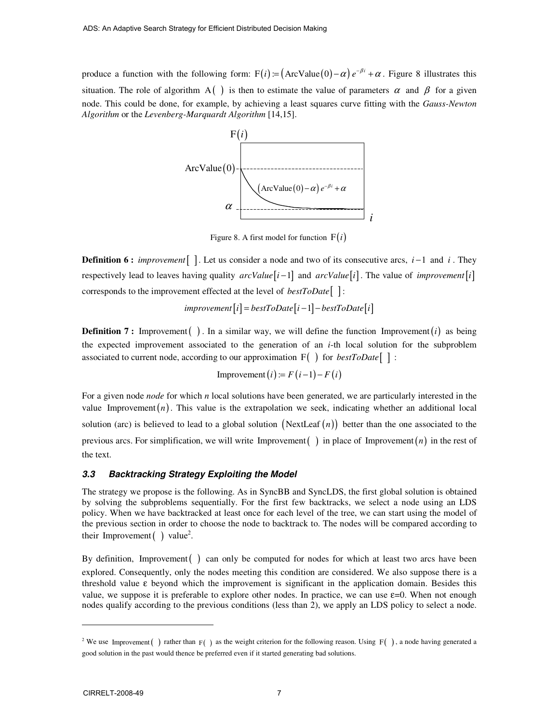produce a function with the following form:  $F(i) = (ArcValue(0) - \alpha) e^{-\beta i} + \alpha$ . Figure 8 illustrates this situation. The role of algorithm A() is then to estimate the value of parameters  $\alpha$  and  $\beta$  for a given node. This could be done, for example, by achieving a least squares curve fitting with the *Gauss-Newton Algorithm* or the *Levenberg-Marquardt Algorithm* [14,15].



Figure 8. A first model for function  $F(i)$ 

**Definition 6 :** *improvement*[ ]. Let us consider a node and two of its consecutive arcs, *i* −1 and *i* . They respectively lead to leaves having quality  $arcValue[i-1]$  and  $arcValue[i]$ . The value of *improvement* [*i*] corresponds to the improvement effected at the level of *bestToDate*[ ] :

$$
improvement[i] = bestToDate[i-1] - bestToDate[i]
$$

**Definition 7:** Improvement  $\left( \cdot \right)$ . In a similar way, we will define the function Improvement  $(i)$  as being the expected improvement associated to the generation of an *i*-th local solution for the subproblem associated to current node, according to our approximation F( ) for *bestToDate*[ ] :

$$
Improvement (i) := F (i-1) - F (i)
$$

For a given node *node* for which *n* local solutions have been generated, we are particularly interested in the value Improvement $(n)$ . This value is the extrapolation we seek, indicating whether an additional local solution (arc) is believed to lead to a global solution  $(NextLeaf(n))$  better than the one associated to the previous arcs. For simplification, we will write Improvement  $\binom{ }{ }$  in place of Improvement  $\binom{n}{n}$  in the rest of the text.

#### *3.3 Backtracking Strategy Exploiting the Model*

The strategy we propose is the following. As in SyncBB and SyncLDS, the first global solution is obtained by solving the subproblems sequentially. For the first few backtracks, we select a node using an LDS policy. When we have backtracked at least once for each level of the tree, we can start using the model of the previous section in order to choose the node to backtrack to. The nodes will be compared according to their Improvement  $\left( \quad \right)$  value<sup>2</sup>.

By definition, Improvement  $\left( \right)$  can only be computed for nodes for which at least two arcs have been explored. Consequently, only the nodes meeting this condition are considered. We also suppose there is a threshold value  $\varepsilon$  beyond which the improvement is significant in the application domain. Besides this value, we suppose it is preferable to explore other nodes. In practice, we can use  $\varepsilon=0$ . When not enough nodes qualify according to the previous conditions (less than 2), we apply an LDS policy to select a node.

<sup>&</sup>lt;sup>2</sup> We use Improvement () rather than  $F( )$  as the weight criterion for the following reason. Using  $F( )$ , a node having generated a good solution in the past would thence be preferred even if it started generating bad solutions.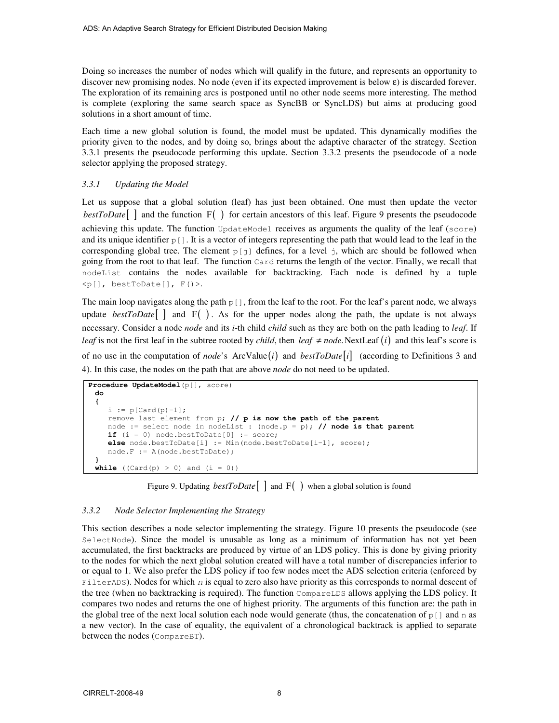Doing so increases the number of nodes which will qualify in the future, and represents an opportunity to discover new promising nodes. No node (even if its expected improvement is below  $\varepsilon$ ) is discarded forever. The exploration of its remaining arcs is postponed until no other node seems more interesting. The method is complete (exploring the same search space as SyncBB or SyncLDS) but aims at producing good solutions in a short amount of time.

Each time a new global solution is found, the model must be updated. This dynamically modifies the priority given to the nodes, and by doing so, brings about the adaptive character of the strategy. Section 3.3.1 presents the pseudocode performing this update. Section 3.3.2 presents the pseudocode of a node selector applying the proposed strategy.

#### *3.3.1 Updating the Model*

Let us suppose that a global solution (leaf) has just been obtained. One must then update the vector *bestToDate* | and the function F( ) for certain ancestors of this leaf. Figure 9 presents the pseudocode achieving this update. The function UpdateModel receives as arguments the quality of the leaf (score) and its unique identifier  $p[]$ . It is a vector of integers representing the path that would lead to the leaf in the corresponding global tree. The element  $p[i]$  defines, for a level j, which arc should be followed when going from the root to that leaf. The function Card returns the length of the vector. Finally, we recall that nodeList contains the nodes available for backtracking. Each node is defined by a tuple  $\langle p[$ ], bestToDate[],  $F()$  >.

The main loop navigates along the path  $p[]$ , from the leaf to the root. For the leaf's parent node, we always update *bestToDate* $\begin{bmatrix} \end{bmatrix}$  and  $F( )$ . As for the upper nodes along the path, the update is not always necessary. Consider a node *node* and its *i*-th child *child* such as they are both on the path leading to *leaf*. If *leaf* is not the first leaf in the subtree rooted by *child*, then *leaf*  $\neq$  *node*. NextLeaf (*i*) and this leaf's score is of no use in the computation of *node*'s ArcValue(*i*) and *bestToDate* [*i*] (according to Definitions 3 and 4). In this case, the nodes on the path that are above *node* do not need to be updated.

```
Procedure UpdateModel(p[], score)
  do
 { 
    i := p[Card(p)-1]; remove last element from p; // p is now the path of the parent
     node := select node in nodeList : (node.p = p); // node is that parent 
    if (i = 0) node.bestToDate[0] := score; else node.bestToDate[i] := Min(node.bestToDate[i-1], score); 
     node.F := A(node.bestToDate); 
  } 
 while ((Card(p) > 0) and (i = 0))
```
Figure 9. Updating *bestToDate* | and F( ) when a global solution is found

#### *3.3.2 Node Selector Implementing the Strategy*

This section describes a node selector implementing the strategy. Figure 10 presents the pseudocode (see SelectNode). Since the model is unusable as long as a minimum of information has not yet been accumulated, the first backtracks are produced by virtue of an LDS policy. This is done by giving priority to the nodes for which the next global solution created will have a total number of discrepancies inferior to or equal to 1. We also prefer the LDS policy if too few nodes meet the ADS selection criteria (enforced by FilterADS). Nodes for which *n* is equal to zero also have priority as this corresponds to normal descent of the tree (when no backtracking is required). The function CompareLDS allows applying the LDS policy. It compares two nodes and returns the one of highest priority. The arguments of this function are: the path in the global tree of the next local solution each node would generate (thus, the concatenation of  $p \restriction \mathbb{I}$  and n as a new vector). In the case of equality, the equivalent of a chronological backtrack is applied to separate between the nodes (CompareBT).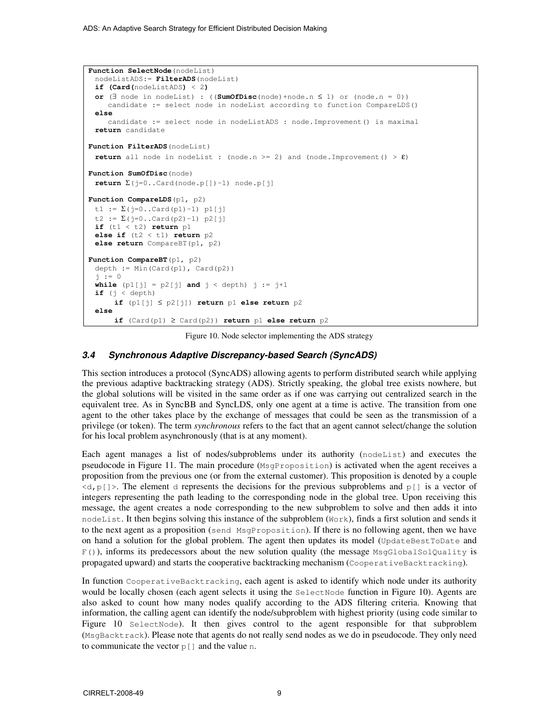```
Function SelectNode(nodeList)
 nodeListADS:= FilterADS(nodeList) 
  if (Card(nodeListADS) < 2) 
  or (∃ node in nodeList) : ((SumOfDisc(node)+node.n ≤ 1) or (node.n = 0)) 
     candidate := select node in nodeList according to function CompareLDS() 
  else 
     candidate := select node in nodeListADS : node.Improvement() is maximal 
  return candidate 
Function FilterADS(nodeList) 
 return all node in nodeList : (node.n > = 2) and (node.Improvement() > \epsilon)
Function SumOfDisc(node) 
 return \Sigma(j=0..Card(node.p[])-1) node.p[j]
Function CompareLDS(p1, p2) 
 t1 := \Sigma(j=0..Card(p1)-1) p1[j]t2 := \Sigma(j=0..Card(p2)-1) p2[j]
 if (t1 < t2) return p1 
 else if (t2 < t1) return p2 
  else return CompareBT(p1, p2) 
Function CompareBT(p1, p2) 
 depth := Min(Card(p1), Card(p2))
  j := 0 
 while (p1[j] = p2[j] and j < depth) j := j+1if (j < depth) if (p1[j] ≤ p2[j]) return p1 else return p2 
 else 
       if (Card(p1) ≥ Card(p2)) return p1 else return p2
```
Figure 10. Node selector implementing the ADS strategy

## *3.4 Synchronous Adaptive Discrepancy-based Search (SyncADS)*

This section introduces a protocol (SyncADS) allowing agents to perform distributed search while applying the previous adaptive backtracking strategy (ADS). Strictly speaking, the global tree exists nowhere, but the global solutions will be visited in the same order as if one was carrying out centralized search in the equivalent tree. As in SyncBB and SyncLDS, only one agent at a time is active. The transition from one agent to the other takes place by the exchange of messages that could be seen as the transmission of a privilege (or token). The term *synchronous* refers to the fact that an agent cannot select/change the solution for his local problem asynchronously (that is at any moment).

Each agent manages a list of nodes/subproblems under its authority (nodeList) and executes the pseudocode in Figure 11. The main procedure (MsgProposition) is activated when the agent receives a proposition from the previous one (or from the external customer). This proposition is denoted by a couple  $\langle d, p \rangle$ . The element d represents the decisions for the previous subproblems and p $\vert \cdot \vert$  is a vector of integers representing the path leading to the corresponding node in the global tree. Upon receiving this message, the agent creates a node corresponding to the new subproblem to solve and then adds it into nodeList. It then begins solving this instance of the subproblem (Work), finds a first solution and sends it to the next agent as a proposition (send MsgProposition). If there is no following agent, then we have on hand a solution for the global problem. The agent then updates its model (UpdateBestToDate and  $F($ ), informs its predecessors about the new solution quality (the message MsqGlobalSolQuality is propagated upward) and starts the cooperative backtracking mechanism (CooperativeBacktracking).

In function CooperativeBacktracking, each agent is asked to identify which node under its authority would be locally chosen (each agent selects it using the SelectNode function in Figure 10). Agents are also asked to count how many nodes qualify according to the ADS filtering criteria. Knowing that information, the calling agent can identify the node/subproblem with highest priority (using code similar to Figure 10 SelectNode). It then gives control to the agent responsible for that subproblem (MsgBacktrack). Please note that agents do not really send nodes as we do in pseudocode. They only need to communicate the vector  $p \mid$  and the value n.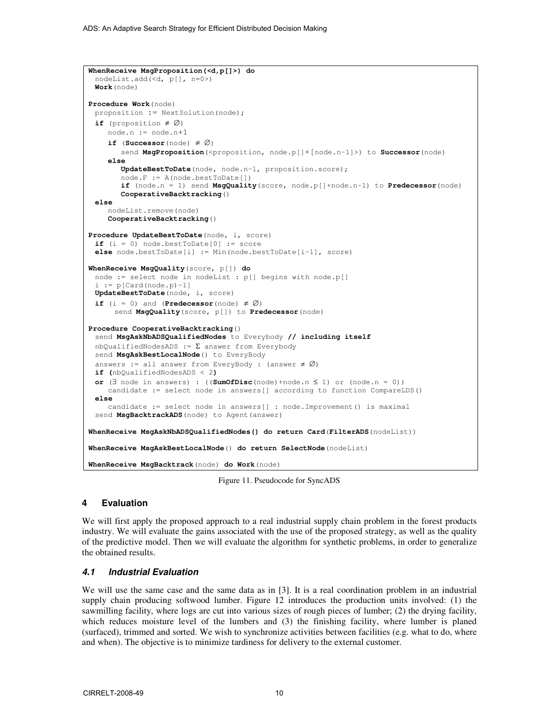```
WhenReceive MsgProposition(<d,p[]>) do 
  nodeList.add(<d, p[], n=0>) 
 Work(node) 
Procedure Work(node) 
 proposition := NextSolution(node);
 if (proposition ≠ ∅) 
     node.n := node.n+1
    if (Successor(node) \neq \emptyset)
       send MsgProposition(<proposition, node.p[]+[node.n-1]>) to Successor(node)
      else
         UpdateBestToDate(node, node.n-1, proposition.score); 
         node.F := A(node.bestToDate[]) 
         if (node.n = 1) send MsgQuality(score, node.p[]+node.n-1) to Predecessor(node) 
         CooperativeBacktracking() 
  else 
     nodeList.remove(node) 
     CooperativeBacktracking() 
Procedure UpdateBestToDate(node, i, score) 
 if (i = 0) node. bestToDate[0] := scoreelse node.bestToDate[i] := Min(node.bestToDate[i-1], score) 
WhenReceive MsgQuality(score, p[]) do
  node := select node in nodeList : p[] begins with node.p[] 
 i := p[Card(node.p)-1]UpdateBestToDate(node, i, score) 
 if (i = 0) and (Predecessor(node) \neq \emptyset)
       send MsgQuality(score, p[]) to Predecessor(node) 
Procedure CooperativeBacktracking() 
  send MsgAskNbADSQualifiedNodes to Everybody // including itself
 nbQualifiedNodesADS := \Sigma answer from Everybody
  send MsgAskBestLocalNode() to EveryBody 
 answers := all answer from EveryBody : (answer \neq \emptyset)
  if (nbQualifiedNodesADS < 2) 
  or (∃ node in answers) : ((SumOfDisc(node)+node.n ≤ 1) or (node.n = 0)) 
     candidate := select node in answers[] according to function CompareLDS() 
  else 
     candidate := select node in answers[] : node.Improvement() is maximal 
 send MsgBacktrackADS (node) to Agent (answer)
WhenReceive MsgAskNbADSQualifiedNodes() do return Card(FilterADS(nodeList)) 
WhenReceive MsgAskBestLocalNode() do return SelectNode(nodeList)
WhenReceive MsgBacktrack(node) do Work(node)
```
Figure 11. Pseudocode for SyncADS

## **4 Evaluation**

We will first apply the proposed approach to a real industrial supply chain problem in the forest products industry. We will evaluate the gains associated with the use of the proposed strategy, as well as the quality of the predictive model. Then we will evaluate the algorithm for synthetic problems, in order to generalize the obtained results.

## *4.1 Industrial Evaluation*

We will use the same case and the same data as in [3]. It is a real coordination problem in an industrial supply chain producing softwood lumber. Figure 12 introduces the production units involved: (1) the sawmilling facility, where logs are cut into various sizes of rough pieces of lumber; (2) the drying facility, which reduces moisture level of the lumbers and (3) the finishing facility, where lumber is planed (surfaced), trimmed and sorted. We wish to synchronize activities between facilities (e.g. what to do, where and when). The objective is to minimize tardiness for delivery to the external customer.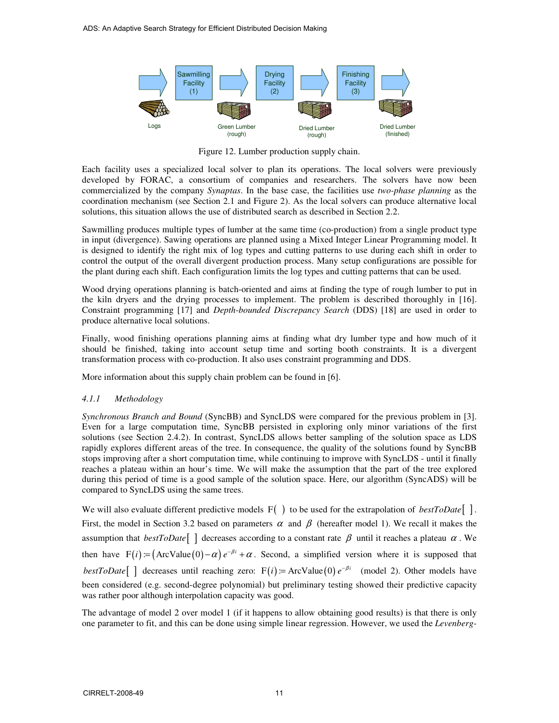

Figure 12. Lumber production supply chain.

Each facility uses a specialized local solver to plan its operations. The local solvers were previously developed by FORAC, a consortium of companies and researchers. The solvers have now been commercialized by the company *Synaptas*. In the base case, the facilities use *two-phase planning* as the coordination mechanism (see Section 2.1 and Figure 2). As the local solvers can produce alternative local solutions, this situation allows the use of distributed search as described in Section 2.2.

Sawmilling produces multiple types of lumber at the same time (co-production) from a single product type in input (divergence). Sawing operations are planned using a Mixed Integer Linear Programming model. It is designed to identify the right mix of log types and cutting patterns to use during each shift in order to control the output of the overall divergent production process. Many setup configurations are possible for the plant during each shift. Each configuration limits the log types and cutting patterns that can be used.

Wood drying operations planning is batch-oriented and aims at finding the type of rough lumber to put in the kiln dryers and the drying processes to implement. The problem is described thoroughly in [16]. Constraint programming [17] and *Depth-bounded Discrepancy Search* (DDS) [18] are used in order to produce alternative local solutions.

Finally, wood finishing operations planning aims at finding what dry lumber type and how much of it should be finished, taking into account setup time and sorting booth constraints. It is a divergent transformation process with co-production. It also uses constraint programming and DDS.

More information about this supply chain problem can be found in [6].

## *4.1.1 Methodology*

*Synchronous Branch and Bound* (SyncBB) and SyncLDS were compared for the previous problem in [3]. Even for a large computation time, SyncBB persisted in exploring only minor variations of the first solutions (see Section 2.4.2). In contrast, SyncLDS allows better sampling of the solution space as LDS rapidly explores different areas of the tree. In consequence, the quality of the solutions found by SyncBB stops improving after a short computation time, while continuing to improve with SyncLDS - until it finally reaches a plateau within an hour's time. We will make the assumption that the part of the tree explored during this period of time is a good sample of the solution space. Here, our algorithm (SyncADS) will be compared to SyncLDS using the same trees.

We will also evaluate different predictive models F() to be used for the extrapolation of *bestToDate*[]. First, the model in Section 3.2 based on parameters  $\alpha$  and  $\beta$  (hereafter model 1). We recall it makes the assumption that *bestToDate*[ ] decreases according to a constant rate  $\beta$  until it reaches a plateau  $\alpha$ . We then have  $F(i) = (ArcValue(0) - \alpha) e^{-\beta i} + \alpha$ . Second, a simplified version where it is supposed that *bestToDate* [ ] decreases until reaching zero:  $F(i) = ArcValue(0) e^{-\beta i}$  (model 2). Other models have been considered (e.g. second-degree polynomial) but preliminary testing showed their predictive capacity was rather poor although interpolation capacity was good.

The advantage of model 2 over model 1 (if it happens to allow obtaining good results) is that there is only one parameter to fit, and this can be done using simple linear regression. However, we used the *Levenberg-*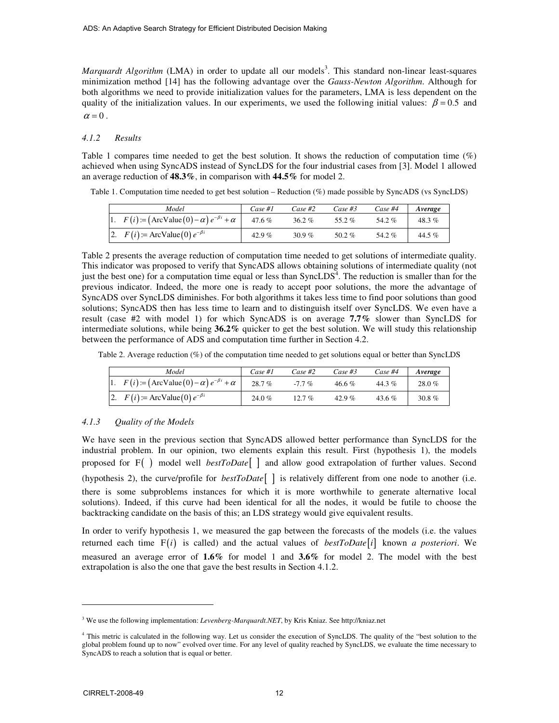*Marquardt Algorithm* (LMA) in order to update all our models<sup>3</sup>. This standard non-linear least-squares minimization method [14] has the following advantage over the *Gauss-Newton Algorithm*. Although for both algorithms we need to provide initialization values for the parameters, LMA is less dependent on the quality of the initialization values. In our experiments, we used the following initial values:  $\beta = 0.5$  and  $\alpha = 0$ .

#### *4.1.2 Results*

Table 1 compares time needed to get the best solution. It shows the reduction of computation time (%) achieved when using SyncADS instead of SyncLDS for the four industrial cases from [3]. Model 1 allowed an average reduction of **48.3%**, in comparison with **44.5%** for model 2.

Table 1. Computation time needed to get best solution – Reduction (%) made possible by SyncADS (vs SyncLDS)

| Model                                                            | Case #1  | Case #2  | Case #3 | Case #4 | Average |
|------------------------------------------------------------------|----------|----------|---------|---------|---------|
| 1. $F(i) := (\text{ArcValue}(0) - \alpha) e^{-\beta i} + \alpha$ | $47.6\%$ | 36.2%    | 55.2%   | 54.2%   | 48.3%   |
| 2. $F(i)$ := ArcValue(0) $e^{-\beta i}$                          | 42.9%    | 30.9 $%$ | 50.2%   | 54.2%   | 44.5%   |

Table 2 presents the average reduction of computation time needed to get solutions of intermediate quality. This indicator was proposed to verify that SyncADS allows obtaining solutions of intermediate quality (not just the best one) for a computation time equal or less than  $SyncLDS<sup>4</sup>$ . The reduction is smaller than for the previous indicator. Indeed, the more one is ready to accept poor solutions, the more the advantage of SyncADS over SyncLDS diminishes. For both algorithms it takes less time to find poor solutions than good solutions; SyncADS then has less time to learn and to distinguish itself over SyncLDS. We even have a result (case #2 with model 1) for which SyncADS is on average **7.7%** slower than SyncLDS for intermediate solutions, while being **36.2%** quicker to get the best solution. We will study this relationship between the performance of ADS and computation time further in Section 4.2.

Table 2. Average reduction (%) of the computation time needed to get solutions equal or better than SyncLDS

| Model                                                           | Case #1 | Case #2  | Case $#3$ | Case #4  | Average   |
|-----------------------------------------------------------------|---------|----------|-----------|----------|-----------|
| 1. $F(i) = (\text{ArcValue}(0) - \alpha) e^{-\beta i} + \alpha$ | 28.7%   | $-7.7\%$ | $46.6\%$  | 44.3%    | 28.0%     |
| 2. $F(i)$ = ArcValue(0) $e^{-\beta i}$                          | 24.0%   | 12.7%    | 42.9 $%$  | 43.6 $%$ | $30.8 \%$ |

#### *4.1.3 Quality of the Models*

We have seen in the previous section that SyncADS allowed better performance than SyncLDS for the industrial problem. In our opinion, two elements explain this result. First (hypothesis 1), the models proposed for F( ) model well *bestToDate*[ ] and allow good extrapolation of further values. Second (hypothesis 2), the curve/profile for  $bestToDate$  | is relatively different from one node to another (i.e. there is some subproblems instances for which it is more worthwhile to generate alternative local solutions). Indeed, if this curve had been identical for all the nodes, it would be futile to choose the backtracking candidate on the basis of this; an LDS strategy would give equivalent results.

In order to verify hypothesis 1, we measured the gap between the forecasts of the models (i.e. the values returned each time  $F(i)$  is called) and the actual values of *bestToDate* [i] known *a posteriori*. We measured an average error of **1.6%** for model 1 and **3.6%** for model 2. The model with the best extrapolation is also the one that gave the best results in Section 4.1.2.

<sup>&</sup>lt;sup>3</sup> We use the following implementation: *Levenberg-Marquardt.NET*, by Kris Kniaz. See http://kniaz.net

<sup>&</sup>lt;sup>4</sup> This metric is calculated in the following way. Let us consider the execution of SyncLDS. The quality of the "best solution to the global problem found up to now" evolved over time. For any level of quality reached by SyncLDS, we evaluate the time necessary to SyncADS to reach a solution that is equal or better.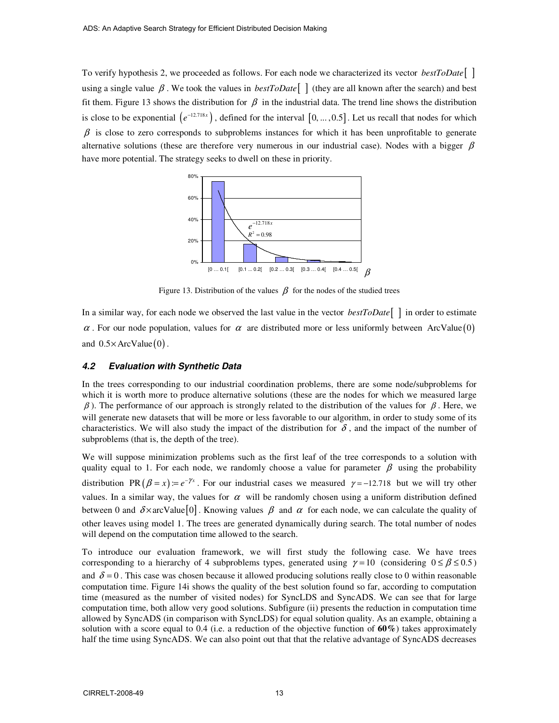To verify hypothesis 2, we proceeded as follows. For each node we characterized its vector *bestToDate*[ ] using a single value  $\beta$ . We took the values in *bestToDate*[ ] (they are all known after the search) and best fit them. Figure 13 shows the distribution for  $\beta$  in the industrial data. The trend line shows the distribution is close to be exponential  $(e^{-12.718x})$ , defined for the interval  $[0, ..., 0.5]$ . Let us recall that nodes for which  $\beta$  is close to zero corresponds to subproblems instances for which it has been unprofitable to generate alternative solutions (these are therefore very numerous in our industrial case). Nodes with a bigger  $\beta$ have more potential. The strategy seeks to dwell on these in priority.



Figure 13. Distribution of the values  $\beta$  for the nodes of the studied trees

In a similar way, for each node we observed the last value in the vector *bestToDate*[ ] in order to estimate  $\alpha$ . For our node population, values for  $\alpha$  are distributed more or less uniformly between ArcValue (0) and  $0.5 \times$  ArcValue $(0)$ .

## *4.2 Evaluation with Synthetic Data*

In the trees corresponding to our industrial coordination problems, there are some node/subproblems for which it is worth more to produce alternative solutions (these are the nodes for which we measured large  $β$ ). The performance of our approach is strongly related to the distribution of the values for  $β$ . Here, we will generate new datasets that will be more or less favorable to our algorithm, in order to study some of its characteristics. We will also study the impact of the distribution for  $\delta$ , and the impact of the number of subproblems (that is, the depth of the tree).

We will suppose minimization problems such as the first leaf of the tree corresponds to a solution with quality equal to 1. For each node, we randomly choose a value for parameter  $\beta$  using the probability distribution PR  $(\beta = x) = e^{-\gamma x}$ . For our industrial cases we measured  $\gamma = -12.718$  but we will try other values. In a similar way, the values for  $\alpha$  will be randomly chosen using a uniform distribution defined between 0 and  $\delta \times$  arcValue [0]. Knowing values  $\beta$  and  $\alpha$  for each node, we can calculate the quality of other leaves using model 1. The trees are generated dynamically during search. The total number of nodes will depend on the computation time allowed to the search.

To introduce our evaluation framework, we will first study the following case. We have trees corresponding to a hierarchy of 4 subproblems types, generated using  $\gamma = 10$  (considering  $0 \le \beta \le 0.5$ ) and  $\delta = 0$ . This case was chosen because it allowed producing solutions really close to 0 within reasonable computation time. Figure 14i shows the quality of the best solution found so far, according to computation time (measured as the number of visited nodes) for SyncLDS and SyncADS. We can see that for large computation time, both allow very good solutions. Subfigure (ii) presents the reduction in computation time allowed by SyncADS (in comparison with SyncLDS) for equal solution quality. As an example, obtaining a solution with a score equal to 0.4 (i.e. a reduction of the objective function of **60%**) takes approximately half the time using SyncADS. We can also point out that that the relative advantage of SyncADS decreases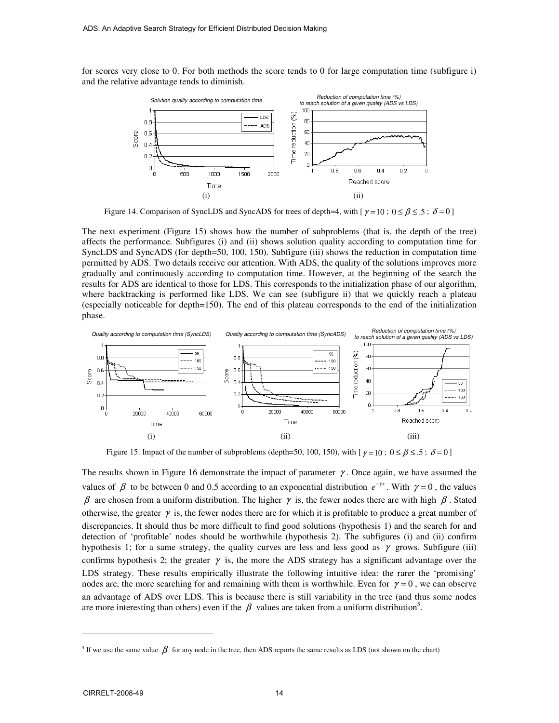for scores very close to 0. For both methods the score tends to 0 for large computation time (subfigure i) and the relative advantage tends to diminish.



Figure 14. Comparison of SyncLDS and SyncADS for trees of depth=4, with [ $\gamma = 10$ ;  $0 \le \beta \le .5$ ;  $\delta = 0$ ]

The next experiment (Figure 15) shows how the number of subproblems (that is, the depth of the tree) affects the performance. Subfigures (i) and (ii) shows solution quality according to computation time for SyncLDS and SyncADS (for depth=50, 100, 150). Subfigure (iii) shows the reduction in computation time permitted by ADS. Two details receive our attention. With ADS, the quality of the solutions improves more gradually and continuously according to computation time. However, at the beginning of the search the results for ADS are identical to those for LDS. This corresponds to the initialization phase of our algorithm, where backtracking is performed like LDS. We can see (subfigure ii) that we quickly reach a plateau (especially noticeable for depth=150). The end of this plateau corresponds to the end of the initialization phase.



Figure 15. Impact of the number of subproblems (depth=50, 100, 150), with  $[\gamma = 10; 0 \le \beta \le .5; \delta = 0]$ 

The results shown in Figure 16 demonstrate the impact of parameter  $\gamma$ . Once again, we have assumed the values of  $\beta$  to be between 0 and 0.5 according to an exponential distribution  $e^{-\gamma x}$ . With  $\gamma = 0$ , the values β are chosen from a uniform distribution. The higher  $\gamma$  is, the fewer nodes there are with high  $\beta$ . Stated otherwise, the greater  $\gamma$  is, the fewer nodes there are for which it is profitable to produce a great number of discrepancies. It should thus be more difficult to find good solutions (hypothesis 1) and the search for and detection of 'profitable' nodes should be worthwhile (hypothesis 2). The subfigures (i) and (ii) confirm hypothesis 1; for a same strategy, the quality curves are less and less good as  $\gamma$  grows. Subfigure (iii) confirms hypothesis 2; the greater  $\gamma$  is, the more the ADS strategy has a significant advantage over the LDS strategy. These results empirically illustrate the following intuitive idea: the rarer the 'promising' nodes are, the more searching for and remaining with them is worthwhile. Even for  $\gamma = 0$ , we can observe an advantage of ADS over LDS. This is because there is still variability in the tree (and thus some nodes are more interesting than others) even if the  $\beta$  values are taken from a uniform distribution<sup>5</sup>.

<sup>&</sup>lt;sup>5</sup> If we use the same value  $\beta$  for any node in the tree, then ADS reports the same results as LDS (not shown on the chart)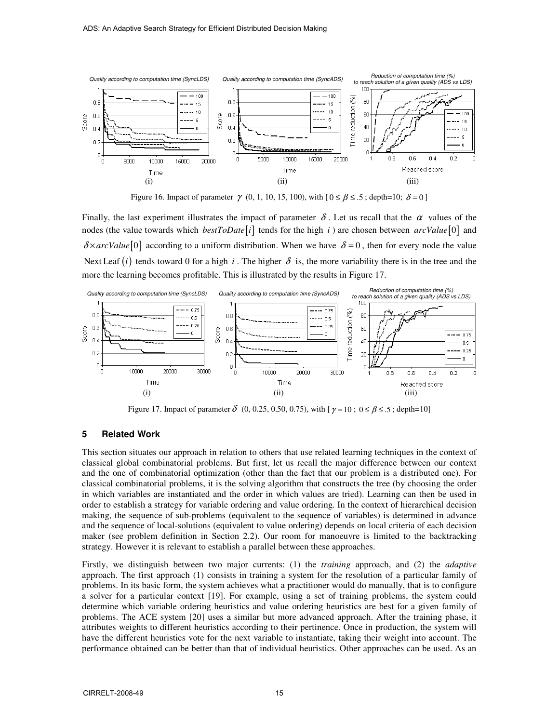

Figure 16. Impact of parameter  $\gamma$  (0, 1, 10, 15, 100), with  $[0 \le \beta \le .5$ ; depth=10;  $\delta = 0$ ]

Finally, the last experiment illustrates the impact of parameter  $\delta$ . Let us recall that the  $\alpha$  values of the nodes (the value towards which *bestToDate* i ] tends for the high *i*) are chosen between  $arcValue[0]$  and  $\delta \times arcValue[0]$  according to a uniform distribution. When we have  $\delta = 0$ , then for every node the value Next Leaf  $(i)$  tends toward 0 for a high i. The higher  $\delta$  is, the more variability there is in the tree and the more the learning becomes profitable. This is illustrated by the results in Figure 17.



Figure 17. Impact of parameter  $\delta$  (0, 0.25, 0.50, 0.75), with  $[\gamma = 10; 0 \le \beta \le .5;$  depth=10]

## **5 Related Work**

This section situates our approach in relation to others that use related learning techniques in the context of classical global combinatorial problems. But first, let us recall the major difference between our context and the one of combinatorial optimization (other than the fact that our problem is a distributed one). For classical combinatorial problems, it is the solving algorithm that constructs the tree (by choosing the order in which variables are instantiated and the order in which values are tried). Learning can then be used in order to establish a strategy for variable ordering and value ordering. In the context of hierarchical decision making, the sequence of sub-problems (equivalent to the sequence of variables) is determined in advance and the sequence of local-solutions (equivalent to value ordering) depends on local criteria of each decision maker (see problem definition in Section 2.2). Our room for manoeuvre is limited to the backtracking strategy. However it is relevant to establish a parallel between these approaches.

Firstly, we distinguish between two major currents: (1) the *training* approach, and (2) the *adaptive* approach. The first approach (1) consists in training a system for the resolution of a particular family of problems. In its basic form, the system achieves what a practitioner would do manually, that is to configure a solver for a particular context [19]. For example, using a set of training problems, the system could determine which variable ordering heuristics and value ordering heuristics are best for a given family of problems. The ACE system [20] uses a similar but more advanced approach. After the training phase, it attributes weights to different heuristics according to their pertinence. Once in production, the system will have the different heuristics vote for the next variable to instantiate, taking their weight into account. The performance obtained can be better than that of individual heuristics. Other approaches can be used. As an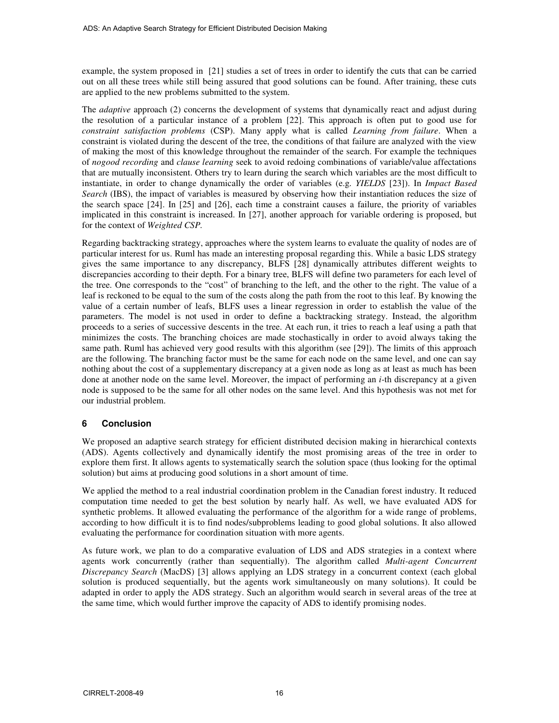example, the system proposed in [21] studies a set of trees in order to identify the cuts that can be carried out on all these trees while still being assured that good solutions can be found. After training, these cuts are applied to the new problems submitted to the system.

The *adaptive* approach (2) concerns the development of systems that dynamically react and adjust during the resolution of a particular instance of a problem [22]. This approach is often put to good use for *constraint satisfaction problems* (CSP). Many apply what is called *Learning from failure*. When a constraint is violated during the descent of the tree, the conditions of that failure are analyzed with the view of making the most of this knowledge throughout the remainder of the search. For example the techniques of *nogood recording* and *clause learning* seek to avoid redoing combinations of variable/value affectations that are mutually inconsistent. Others try to learn during the search which variables are the most difficult to instantiate, in order to change dynamically the order of variables (e.g. *YIELDS* [23]). In *Impact Based Search* (IBS), the impact of variables is measured by observing how their instantiation reduces the size of the search space [24]. In [25] and [26], each time a constraint causes a failure, the priority of variables implicated in this constraint is increased. In [27], another approach for variable ordering is proposed, but for the context of *Weighted CSP.* 

Regarding backtracking strategy, approaches where the system learns to evaluate the quality of nodes are of particular interest for us. Ruml has made an interesting proposal regarding this. While a basic LDS strategy gives the same importance to any discrepancy, BLFS [28] dynamically attributes different weights to discrepancies according to their depth. For a binary tree, BLFS will define two parameters for each level of the tree. One corresponds to the "cost" of branching to the left, and the other to the right. The value of a leaf is reckoned to be equal to the sum of the costs along the path from the root to this leaf. By knowing the value of a certain number of leafs, BLFS uses a linear regression in order to establish the value of the parameters. The model is not used in order to define a backtracking strategy. Instead, the algorithm proceeds to a series of successive descents in the tree. At each run, it tries to reach a leaf using a path that minimizes the costs. The branching choices are made stochastically in order to avoid always taking the same path. Ruml has achieved very good results with this algorithm (see [29]). The limits of this approach are the following. The branching factor must be the same for each node on the same level, and one can say nothing about the cost of a supplementary discrepancy at a given node as long as at least as much has been done at another node on the same level. Moreover, the impact of performing an *i*-th discrepancy at a given node is supposed to be the same for all other nodes on the same level. And this hypothesis was not met for our industrial problem.

## **6 Conclusion**

We proposed an adaptive search strategy for efficient distributed decision making in hierarchical contexts (ADS). Agents collectively and dynamically identify the most promising areas of the tree in order to explore them first. It allows agents to systematically search the solution space (thus looking for the optimal solution) but aims at producing good solutions in a short amount of time.

We applied the method to a real industrial coordination problem in the Canadian forest industry. It reduced computation time needed to get the best solution by nearly half. As well, we have evaluated ADS for synthetic problems. It allowed evaluating the performance of the algorithm for a wide range of problems, according to how difficult it is to find nodes/subproblems leading to good global solutions. It also allowed evaluating the performance for coordination situation with more agents.

As future work, we plan to do a comparative evaluation of LDS and ADS strategies in a context where agents work concurrently (rather than sequentially). The algorithm called *Multi-agent Concurrent Discrepancy Search* (MacDS) [3] allows applying an LDS strategy in a concurrent context (each global solution is produced sequentially, but the agents work simultaneously on many solutions). It could be adapted in order to apply the ADS strategy. Such an algorithm would search in several areas of the tree at the same time, which would further improve the capacity of ADS to identify promising nodes.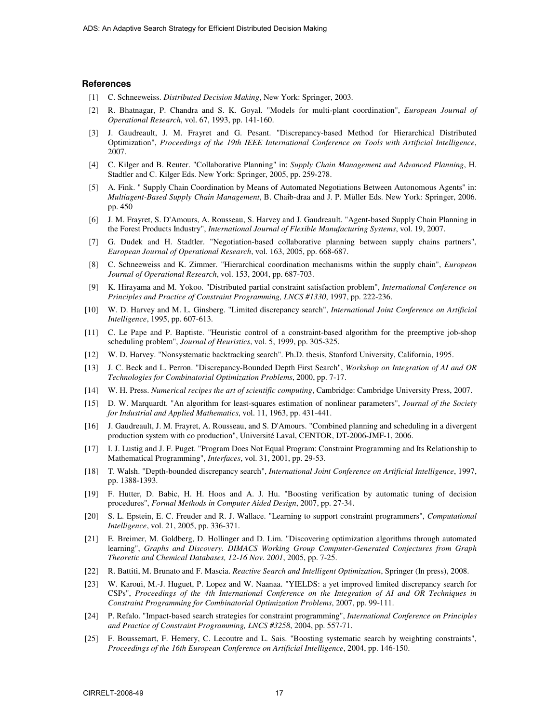#### **References**

- [1] C. Schneeweiss. *Distributed Decision Making*, New York: Springer, 2003.
- [2] R. Bhatnagar, P. Chandra and S. K. Goyal. "Models for multi-plant coordination", *European Journal of Operational Research*, vol. 67, 1993, pp. 141-160.
- [3] J. Gaudreault, J. M. Frayret and G. Pesant. "Discrepancy-based Method for Hierarchical Distributed Optimization", *Proceedings of the 19th IEEE International Conference on Tools with Artificial Intelligence*, 2007.
- [4] C. Kilger and B. Reuter. "Collaborative Planning" in: *Supply Chain Management and Advanced Planning*, H. Stadtler and C. Kilger Eds. New York: Springer, 2005, pp. 259-278.
- [5] A. Fink. " Supply Chain Coordination by Means of Automated Negotiations Between Autonomous Agents" in: *Multiagent-Based Supply Chain Management*, B. Chaib-draa and J. P. Müller Eds. New York: Springer, 2006. pp. 450
- [6] J. M. Frayret, S. D'Amours, A. Rousseau, S. Harvey and J. Gaudreault. "Agent-based Supply Chain Planning in the Forest Products Industry", *International Journal of Flexible Manufacturing Systems*, vol. 19, 2007.
- [7] G. Dudek and H. Stadtler. "Negotiation-based collaborative planning between supply chains partners", *European Journal of Operational Research*, vol. 163, 2005, pp. 668-687.
- [8] C. Schneeweiss and K. Zimmer. "Hierarchical coordination mechanisms within the supply chain", *European Journal of Operational Research*, vol. 153, 2004, pp. 687-703.
- [9] K. Hirayama and M. Yokoo. "Distributed partial constraint satisfaction problem", *International Conference on Principles and Practice of Constraint Programming, LNCS #1330*, 1997, pp. 222-236.
- [10] W. D. Harvey and M. L. Ginsberg. "Limited discrepancy search", *International Joint Conference on Artificial Intelligence*, 1995, pp. 607-613.
- [11] C. Le Pape and P. Baptiste. "Heuristic control of a constraint-based algorithm for the preemptive job-shop scheduling problem", *Journal of Heuristics*, vol. 5, 1999, pp. 305-325.
- [12] W. D. Harvey. "Nonsystematic backtracking search". Ph.D. thesis, Stanford University, California, 1995.
- [13] J. C. Beck and L. Perron. "Discrepancy-Bounded Depth First Search", *Workshop on Integration of AI and OR Technologies for Combinatorial Optimization Problems*, 2000, pp. 7-17.
- [14] W. H. Press. *Numerical recipes the art of scientific computing*, Cambridge: Cambridge University Press, 2007.
- [15] D. W. Marquardt. "An algorithm for least-squares estimation of nonlinear parameters", *Journal of the Society for Industrial and Applied Mathematics*, vol. 11, 1963, pp. 431-441.
- [16] J. Gaudreault, J. M. Frayret, A. Rousseau, and S. D'Amours. "Combined planning and scheduling in a divergent production system with co production", Université Laval, CENTOR, DT-2006-JMF-1, 2006.
- [17] I. J. Lustig and J. F. Puget. "Program Does Not Equal Program: Constraint Programming and Its Relationship to Mathematical Programming", *Interfaces*, vol. 31, 2001, pp. 29-53.
- [18] T. Walsh. "Depth-bounded discrepancy search", *International Joint Conference on Artificial Intelligence*, 1997, pp. 1388-1393.
- [19] F. Hutter, D. Babic, H. H. Hoos and A. J. Hu. "Boosting verification by automatic tuning of decision procedures", *Formal Methods in Computer Aided Design*, 2007, pp. 27-34.
- [20] S. L. Epstein, E. C. Freuder and R. J. Wallace. "Learning to support constraint programmers", *Computational Intelligence*, vol. 21, 2005, pp. 336-371.
- [21] E. Breimer, M. Goldberg, D. Hollinger and D. Lim. "Discovering optimization algorithms through automated learning", *Graphs and Discovery. DIMACS Working Group Computer-Generated Conjectures from Graph Theoretic and Chemical Databases, 12-16 Nov. 2001*, 2005, pp. 7-25.
- [22] R. Battiti, M. Brunato and F. Mascia. *Reactive Search and Intelligent Optimization*, Springer (In press), 2008.
- [23] W. Karoui, M.-J. Huguet, P. Lopez and W. Naanaa. "YIELDS: a yet improved limited discrepancy search for CSPs", *Proceedings of the 4th International Conference on the Integration of AI and OR Techniques in Constraint Programming for Combinatorial Optimization Problems*, 2007, pp. 99-111.
- [24] P. Refalo. "Impact-based search strategies for constraint programming", *International Conference on Principles and Practice of Constraint Programming, LNCS #3258*, 2004, pp. 557-71.
- [25] F. Boussemart, F. Hemery, C. Lecoutre and L. Sais. "Boosting systematic search by weighting constraints", *Proceedings of the 16th European Conference on Artificial Intelligence*, 2004, pp. 146-150.